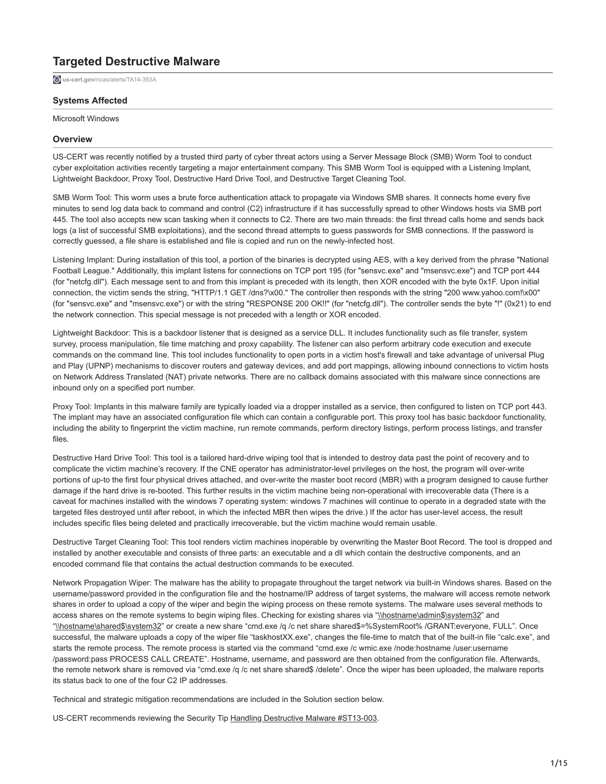# **Targeted Destructive Malware**

**us-cert.gov**[/ncas/alerts/TA14-353A](https://www.us-cert.gov/ncas/alerts/TA14-353A)

# **Systems Affected**

Microsoft Windows

# **Overview**

US-CERT was recently notified by a trusted third party of cyber threat actors using a Server Message Block (SMB) Worm Tool to conduct cyber exploitation activities recently targeting a major entertainment company. This SMB Worm Tool is equipped with a Listening Implant, Lightweight Backdoor, Proxy Tool, Destructive Hard Drive Tool, and Destructive Target Cleaning Tool.

SMB Worm Tool: This worm uses a brute force authentication attack to propagate via Windows SMB shares. It connects home every five minutes to send log data back to command and control (C2) infrastructure if it has successfully spread to other Windows hosts via SMB port 445. The tool also accepts new scan tasking when it connects to C2. There are two main threads: the first thread calls home and sends back logs (a list of successful SMB exploitations), and the second thread attempts to guess passwords for SMB connections. If the password is correctly guessed, a file share is established and file is copied and run on the newly-infected host.

Listening Implant: During installation of this tool, a portion of the binaries is decrypted using AES, with a key derived from the phrase "National Football League." Additionally, this implant listens for connections on TCP port 195 (for "sensvc.exe" and "msensvc.exe") and TCP port 444 (for "netcfg.dll"). Each message sent to and from this implant is preceded with its length, then XOR encoded with the byte 0x1F. Upon initial connection, the victim sends the string, "HTTP/1.1 GET /dns?\x00." The controller then responds with the string "200 www.yahoo.com!\x00" (for "sensvc.exe" and "msensvc.exe") or with the string "RESPONSE 200 OK!!" (for "netcfg.dll"). The controller sends the byte "!" (0x21) to end the network connection. This special message is not preceded with a length or XOR encoded.

Lightweight Backdoor: This is a backdoor listener that is designed as a service DLL. It includes functionality such as file transfer, system survey, process manipulation, file time matching and proxy capability. The listener can also perform arbitrary code execution and execute commands on the command line. This tool includes functionality to open ports in a victim host's firewall and take advantage of universal Plug and Play (UPNP) mechanisms to discover routers and gateway devices, and add port mappings, allowing inbound connections to victim hosts on Network Address Translated (NAT) private networks. There are no callback domains associated with this malware since connections are inbound only on a specified port number.

Proxy Tool: Implants in this malware family are typically loaded via a dropper installed as a service, then configured to listen on TCP port 443. The implant may have an associated configuration file which can contain a configurable port. This proxy tool has basic backdoor functionality, including the ability to fingerprint the victim machine, run remote commands, perform directory listings, perform process listings, and transfer files.

Destructive Hard Drive Tool: This tool is a tailored hard-drive wiping tool that is intended to destroy data past the point of recovery and to complicate the victim machine's recovery. If the CNE operator has administrator-level privileges on the host, the program will over-write portions of up-to the first four physical drives attached, and over-write the master boot record (MBR) with a program designed to cause further damage if the hard drive is re-booted. This further results in the victim machine being non-operational with irrecoverable data (There is a caveat for machines installed with the windows 7 operating system: windows 7 machines will continue to operate in a degraded state with the targeted files destroyed until after reboot, in which the infected MBR then wipes the drive.) If the actor has user-level access, the result includes specific files being deleted and practically irrecoverable, but the victim machine would remain usable.

Destructive Target Cleaning Tool: This tool renders victim machines inoperable by overwriting the Master Boot Record. The tool is dropped and installed by another executable and consists of three parts: an executable and a dll which contain the destructive components, and an encoded command file that contains the actual destruction commands to be executed.

Network Propagation Wiper: The malware has the ability to propagate throughout the target network via built-in Windows shares. Based on the username/password provided in the configuration file and the hostname/IP address of target systems, the malware will access remote network shares in order to upload a copy of the wiper and begin the wiping process on these remote systems. The malware uses several methods to access shares on the remote systems to begin wiping files. Checking for existing shares via "\\hostname\admin\$\system32" and "\\hostname\shared\$\system32" or create a new share "cmd.exe /q /c net share shared\$=%SystemRoot% /GRANT:everyone, FULL". Once successful, the malware uploads a copy of the wiper file "taskhostXX.exe", changes the file-time to match that of the built-in file "calc.exe", and starts the remote process. The remote process is started via the command "cmd.exe /c wmic.exe /node:hostname /user:username /password:pass PROCESS CALL CREATE". Hostname, username, and password are then obtained from the configuration file. Afterwards, the remote network share is removed via "cmd.exe /q /c net share shared\$ /delete". Once the wiper has been uploaded, the malware reports its status back to one of the four C2 IP addresses.

Technical and strategic mitigation recommendations are included in the Solution section below.

US-CERT recommends reviewing the Security Tip [Handling Destructive Malware #ST13-003](https://www.us-cert.gov/ncas/tips/ST13-003).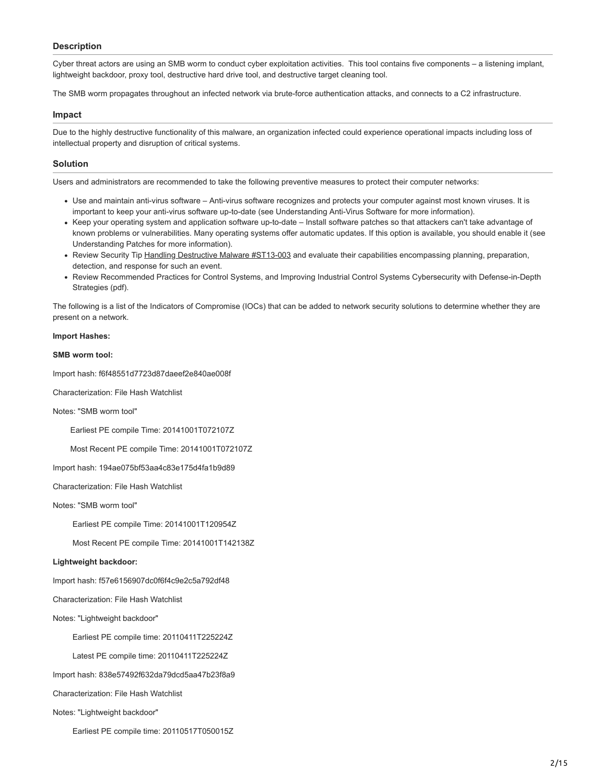# **Description**

Cyber threat actors are using an SMB worm to conduct cyber exploitation activities. This tool contains five components – a listening implant, lightweight backdoor, proxy tool, destructive hard drive tool, and destructive target cleaning tool.

The SMB worm propagates throughout an infected network via brute-force authentication attacks, and connects to a C2 infrastructure.

## **Impact**

Due to the highly destructive functionality of this malware, an organization infected could experience operational impacts including loss of intellectual property and disruption of critical systems.

# **Solution**

Users and administrators are recommended to take the following preventive measures to protect their computer networks:

- Use and maintain anti-virus software Anti-virus software recognizes and protects your computer against most known viruses. It is important to keep your anti-virus software up-to-date (see Understanding Anti-Virus Software for more information).
- Keep your operating system and application software up-to-date Install software patches so that attackers can't take advantage of known problems or vulnerabilities. Many operating systems offer automatic updates. If this option is available, you should enable it (see Understanding Patches for more information).
- Review Security Tip [Handling Destructive Malware #ST13-003](https://www.us-cert.gov/ncas/tips/ST13-003) and evaluate their capabilities encompassing planning, preparation, detection, and response for such an event.
- Review Recommended Practices for Control Systems, and Improving Industrial Control Systems Cybersecurity with Defense-in-Depth Strategies (pdf).

The following is a list of the Indicators of Compromise (IOCs) that can be added to network security solutions to determine whether they are present on a network.

## **Import Hashes:**

## **SMB worm tool:**

Import hash: f6f48551d7723d87daeef2e840ae008f

Characterization: File Hash Watchlist

Notes: "SMB worm tool"

Earliest PE compile Time: 20141001T072107Z

Most Recent PE compile Time: 20141001T072107Z

Import hash: 194ae075bf53aa4c83e175d4fa1b9d89

Characterization: File Hash Watchlist

Notes: "SMB worm tool"

Earliest PE compile Time: 20141001T120954Z

Most Recent PE compile Time: 20141001T142138Z

## **Lightweight backdoor:**

Import hash: f57e6156907dc0f6f4c9e2c5a792df48

Characterization: File Hash Watchlist

Notes: "Lightweight backdoor"

Earliest PE compile time: 20110411T225224Z

Latest PE compile time: 20110411T225224Z

Import hash: 838e57492f632da79dcd5aa47b23f8a9

Characterization: File Hash Watchlist

Notes: "Lightweight backdoor"

Earliest PE compile time: 20110517T050015Z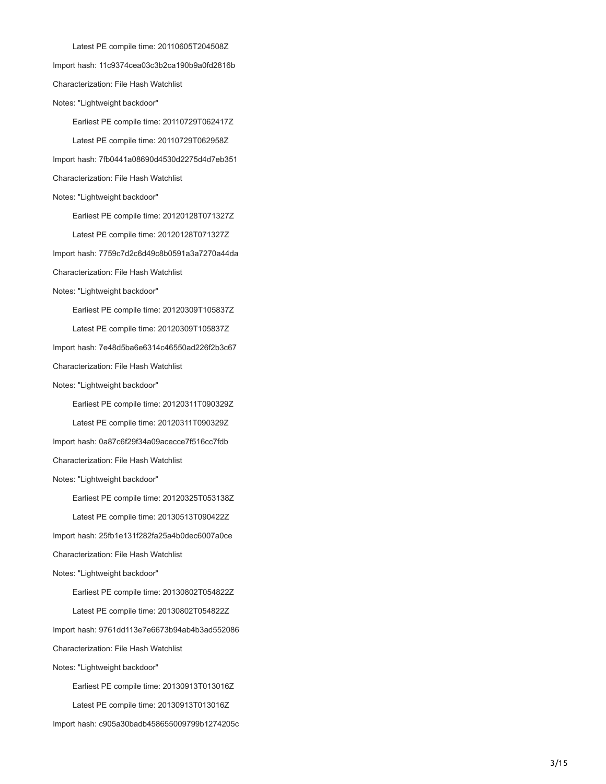Latest PE compile time: 20110605T204508Z Import hash: 11c9374cea03c3b2ca190b9a0fd2816b Characterization: File Hash Watchlist Notes: "Lightweight backdoor" Earliest PE compile time: 20110729T062417Z Latest PE compile time: 20110729T062958Z Import hash: 7fb0441a08690d4530d2275d4d7eb351 Characterization: File Hash Watchlist Notes: "Lightweight backdoor" Earliest PE compile time: 20120128T071327Z Latest PE compile time: 20120128T071327Z Import hash: 7759c7d2c6d49c8b0591a3a7270a44da Characterization: File Hash Watchlist Notes: "Lightweight backdoor" Earliest PE compile time: 20120309T105837Z Latest PE compile time: 20120309T105837Z Import hash: 7e48d5ba6e6314c46550ad226f2b3c67 Characterization: File Hash Watchlist Notes: "Lightweight backdoor" Earliest PE compile time: 20120311T090329Z Latest PE compile time: 20120311T090329Z Import hash: 0a87c6f29f34a09acecce7f516cc7fdb Characterization: File Hash Watchlist Notes: "Lightweight backdoor" Earliest PE compile time: 20120325T053138Z Latest PE compile time: 20130513T090422Z Import hash: 25fb1e131f282fa25a4b0dec6007a0ce Characterization: File Hash Watchlist Notes: "Lightweight backdoor" Earliest PE compile time: 20130802T054822Z Latest PE compile time: 20130802T054822Z Import hash: 9761dd113e7e6673b94ab4b3ad552086 Characterization: File Hash Watchlist Notes: "Lightweight backdoor" Earliest PE compile time: 20130913T013016Z Latest PE compile time: 20130913T013016Z Import hash: c905a30badb458655009799b1274205c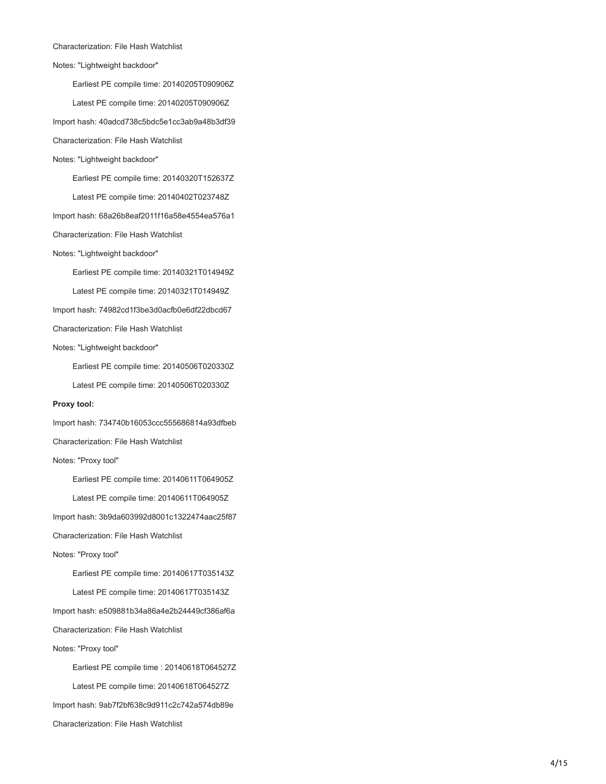#### Characterization: File Hash Watchlist

Notes: "Lightweight backdoor"

Earliest PE compile time: 20140205T090906Z

Latest PE compile time: 20140205T090906Z

Import hash: 40adcd738c5bdc5e1cc3ab9a48b3df39

Characterization: File Hash Watchlist

Notes: "Lightweight backdoor"

Earliest PE compile time: 20140320T152637Z

Latest PE compile time: 20140402T023748Z

Import hash: 68a26b8eaf2011f16a58e4554ea576a1

Characterization: File Hash Watchlist

Notes: "Lightweight backdoor"

Earliest PE compile time: 20140321T014949Z

Latest PE compile time: 20140321T014949Z

Import hash: 74982cd1f3be3d0acfb0e6df22dbcd67

Characterization: File Hash Watchlist

Notes: "Lightweight backdoor"

Earliest PE compile time: 20140506T020330Z

Latest PE compile time: 20140506T020330Z

#### **Proxy tool:**

Import hash: 734740b16053ccc555686814a93dfbeb

Characterization: File Hash Watchlist

Notes: "Proxy tool"

Earliest PE compile time: 20140611T064905Z

Latest PE compile time: 20140611T064905Z

Import hash: 3b9da603992d8001c1322474aac25f87

Characterization: File Hash Watchlist

Notes: "Proxy tool"

Earliest PE compile time: 20140617T035143Z

Latest PE compile time: 20140617T035143Z

Import hash: e509881b34a86a4e2b24449cf386af6a

Characterization: File Hash Watchlist

Notes: "Proxy tool"

 Earliest PE compile time : 20140618T064527Z Latest PE compile time: 20140618T064527Z Import hash: 9ab7f2bf638c9d911c2c742a574db89e Characterization: File Hash Watchlist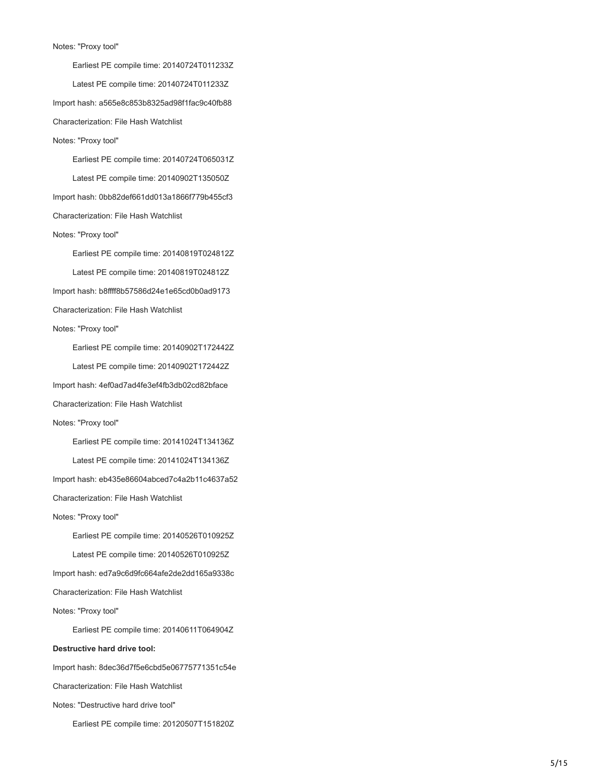#### Notes: "Proxy tool"

 Earliest PE compile time: 20140724T011233Z Latest PE compile time: 20140724T011233Z Import hash: a565e8c853b8325ad98f1fac9c40fb88 Characterization: File Hash Watchlist Notes: "Proxy tool" Earliest PE compile time: 20140724T065031Z Latest PE compile time: 20140902T135050Z Import hash: 0bb82def661dd013a1866f779b455cf3 Characterization: File Hash Watchlist Notes: "Proxy tool" Earliest PE compile time: 20140819T024812Z Latest PE compile time: 20140819T024812Z Import hash: b8ffff8b57586d24e1e65cd0b0ad9173 Characterization: File Hash Watchlist Notes: "Proxy tool" Earliest PE compile time: 20140902T172442Z Latest PE compile time: 20140902T172442Z Import hash: 4ef0ad7ad4fe3ef4fb3db02cd82bface Characterization: File Hash Watchlist Notes: "Proxy tool" Earliest PE compile time: 20141024T134136Z Latest PE compile time: 20141024T134136Z Import hash: eb435e86604abced7c4a2b11c4637a52 Characterization: File Hash Watchlist Notes: "Proxy tool" Earliest PE compile time: 20140526T010925Z Latest PE compile time: 20140526T010925Z Import hash: ed7a9c6d9fc664afe2de2dd165a9338c Characterization: File Hash Watchlist Notes: "Proxy tool" Earliest PE compile time: 20140611T064904Z **Destructive hard drive tool:** Import hash: 8dec36d7f5e6cbd5e06775771351c54e Characterization: File Hash Watchlist Notes: "Destructive hard drive tool"

Earliest PE compile time: 20120507T151820Z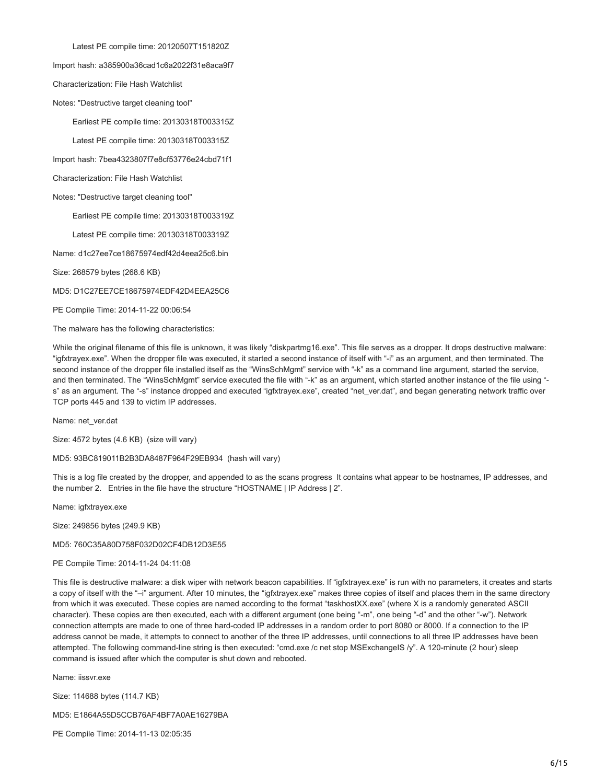Latest PE compile time: 20120507T151820Z

Import hash: a385900a36cad1c6a2022f31e8aca9f7

Characterization: File Hash Watchlist

Notes: "Destructive target cleaning tool"

Earliest PE compile time: 20130318T003315Z

Latest PE compile time: 20130318T003315Z

Import hash: 7bea4323807f7e8cf53776e24cbd71f1

Characterization: File Hash Watchlist

Notes: "Destructive target cleaning tool"

Earliest PE compile time: 20130318T003319Z

Latest PE compile time: 20130318T003319Z

Name: d1c27ee7ce18675974edf42d4eea25c6.bin

Size: 268579 bytes (268.6 KB)

MD5: D1C27EE7CE18675974EDF42D4EEA25C6

PE Compile Time: 2014-11-22 00:06:54

The malware has the following characteristics:

While the original filename of this file is unknown, it was likely "diskpartmg16.exe". This file serves as a dropper. It drops destructive malware: "igfxtrayex.exe". When the dropper file was executed, it started a second instance of itself with "-i" as an argument, and then terminated. The second instance of the dropper file installed itself as the "WinsSchMgmt" service with "-k" as a command line argument, started the service, and then terminated. The "WinsSchMgmt" service executed the file with "-k" as an argument, which started another instance of the file using " s" as an argument. The "-s" instance dropped and executed "igfxtrayex.exe", created "net\_ver.dat", and began generating network traffic over TCP ports 445 and 139 to victim IP addresses.

Name: net\_ver.dat

Size: 4572 bytes (4.6 KB) (size will vary)

MD5: 93BC819011B2B3DA8487F964F29EB934 (hash will vary)

This is a log file created by the dropper, and appended to as the scans progress It contains what appear to be hostnames, IP addresses, and the number 2. Entries in the file have the structure "HOSTNAME | IP Address | 2".

Name: igfxtrayex.exe

Size: 249856 bytes (249.9 KB)

MD5: 760C35A80D758F032D02CF4DB12D3E55

#### PE Compile Time: 2014-11-24 04:11:08

This file is destructive malware: a disk wiper with network beacon capabilities. If "igfxtrayex.exe" is run with no parameters, it creates and starts a copy of itself with the "-i" argument. After 10 minutes, the "igfxtrayex.exe" makes three copies of itself and places them in the same directory from which it was executed. These copies are named according to the format "taskhostXX.exe" (where X is a randomly generated ASCII character). These copies are then executed, each with a different argument (one being "-m", one being "-d" and the other "-w"). Network connection attempts are made to one of three hard-coded IP addresses in a random order to port 8080 or 8000. If a connection to the IP address cannot be made, it attempts to connect to another of the three IP addresses, until connections to all three IP addresses have been attempted. The following command-line string is then executed: "cmd.exe /c net stop MSExchangeIS /y". A 120-minute (2 hour) sleep command is issued after which the computer is shut down and rebooted.

Name: iissvr.exe

Size: 114688 bytes (114.7 KB)

MD5: E1864A55D5CCB76AF4BF7A0AE16279BA

PE Compile Time: 2014-11-13 02:05:35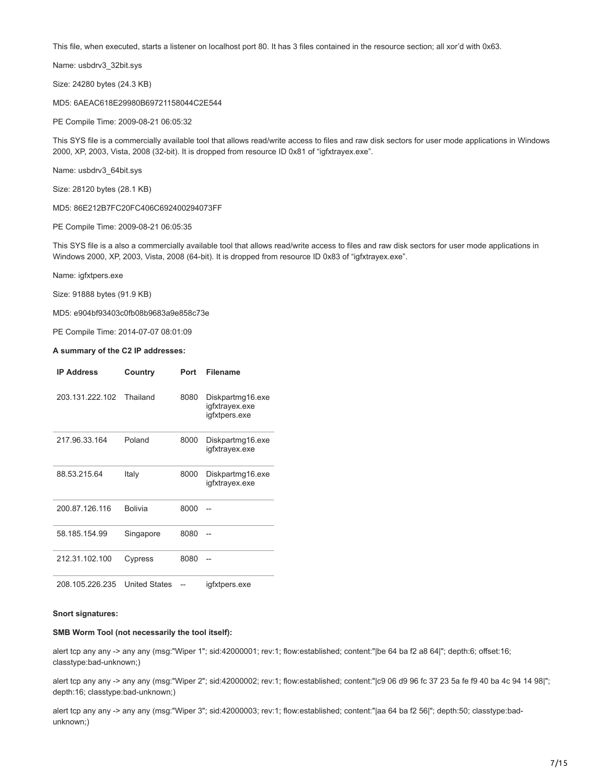This file, when executed, starts a listener on localhost port 80. It has 3 files contained in the resource section; all xor'd with 0x63.

Name: usbdrv3\_32bit.sys

Size: 24280 bytes (24.3 KB)

MD5: 6AEAC618E29980B69721158044C2E544

PE Compile Time: 2009-08-21 06:05:32

This SYS file is a commercially available tool that allows read/write access to files and raw disk sectors for user mode applications in Windows 2000, XP, 2003, Vista, 2008 (32-bit). It is dropped from resource ID 0x81 of "igfxtrayex.exe".

Name: usbdrv3\_64bit.sys

Size: 28120 bytes (28.1 KB)

MD5: 86E212B7FC20FC406C692400294073FF

PE Compile Time: 2009-08-21 06:05:35

This SYS file is a also a commercially available tool that allows read/write access to files and raw disk sectors for user mode applications in Windows 2000, XP, 2003, Vista, 2008 (64-bit). It is dropped from resource ID 0x83 of "igfxtrayex.exe".

Name: igfxtpers.exe

Size: 91888 bytes (91.9 KB)

MD5: e904bf93403c0fb08b9683a9e858c73e

PE Compile Time: 2014-07-07 08:01:09

#### **A summary of the C2 IP addresses:**

| <b>IP Address</b> | Country              | Port | <b>Filename</b>                                     |
|-------------------|----------------------|------|-----------------------------------------------------|
| 203.131.222.102   | Thailand             | 8080 | Diskpartmg16.exe<br>igfxtrayex.exe<br>igfxtpers.exe |
| 217.96.33.164     | Poland               | 8000 | Diskpartmg16.exe<br>igfxtrayex.exe                  |
| 88.53.215.64      | Italy                | 8000 | Diskpartmg16.exe<br>igfxtrayex.exe                  |
| 200.87.126.116    | <b>Bolivia</b>       | 8000 |                                                     |
| 58.185.154.99     | Singapore            | 8080 |                                                     |
| 212.31.102.100    | Cypress              | 8080 |                                                     |
| 208.105.226.235   | <b>United States</b> |      | igfxtpers.exe                                       |

## **Snort signatures:**

## **SMB Worm Tool (not necessarily the tool itself):**

alert tcp any any -> any any (msg:"Wiper 1"; sid:42000001; rev:1; flow:established; content:"|be 64 ba f2 a8 64|"; depth:6; offset:16; classtype:bad-unknown;)

alert tcp any any -> any any (msg:"Wiper 2"; sid:42000002; rev:1; flow:established; content:"|c9 06 d9 96 fc 37 23 5a fe f9 40 ba 4c 94 14 98|"; depth:16; classtype:bad-unknown;)

alert tcp any any -> any any (msg:"Wiper 3"; sid:42000003; rev:1; flow:established; content:"|aa 64 ba f2 56|"; depth:50; classtype:badunknown;)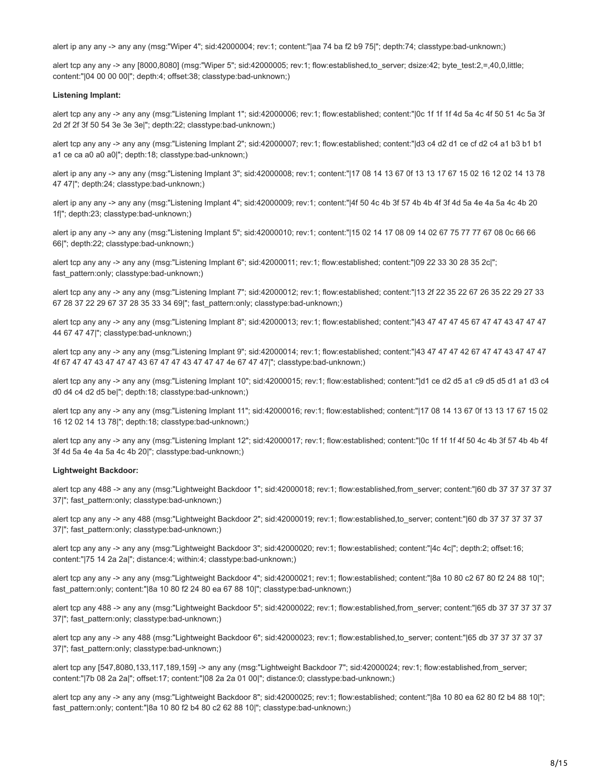alert ip any any -> any any (msg:"Wiper 4"; sid:42000004; rev:1; content:"|aa 74 ba f2 b9 75|"; depth:74; classtype:bad-unknown;)

alert tcp any any -> any [8000,8080] (msg:"Wiper 5"; sid:42000005; rev:1; flow:established,to\_server; dsize:42; byte\_test:2,=,40,0,little; content:"|04 00 00 00|"; depth:4; offset:38; classtype:bad-unknown;)

#### **Listening Implant:**

alert tcp any any -> any any (msg:"Listening Implant 1"; sid:42000006; rev:1; flow:established; content:"|0c 1f 1f 1f 4d 5a 4c 4f 50 51 4c 5a 3f 2d 2f 2f 3f 50 54 3e 3e 3e|"; depth:22; classtype:bad-unknown;)

alert tcp any any -> any any (msg:"Listening Implant 2"; sid:42000007; rev:1; flow:established; content:"|d3 c4 d2 d1 ce cf d2 c4 a1 b3 b1 b1 a1 ce ca a0 a0 a0|"; depth:18; classtype:bad-unknown;)

alert ip any any -> any any (msg:"Listening Implant 3"; sid:42000008; rev:1; content:"|17 08 14 13 67 0f 13 13 17 67 15 02 16 12 02 14 13 78 47 47|"; depth:24; classtype:bad-unknown;)

alert ip any any -> any any (msg:"Listening Implant 4"; sid:42000009; rev:1; content:"|4f 50 4c 4b 3f 57 4b 4b 4f 3f 4d 5a 4e 4a 5a 4c 4b 20 1f|"; depth:23; classtype:bad-unknown;)

alert ip any any -> any any (msg:"Listening Implant 5"; sid:42000010; rev:1; content:"|15 02 14 17 08 09 14 02 67 75 77 77 67 08 0c 66 66 66|"; depth:22; classtype:bad-unknown;)

alert tcp any any -> any any (msg:"Listening Implant 6"; sid:42000011; rev:1; flow:established; content:"|09 22 33 30 28 35 2c|"; fast\_pattern:only; classtype:bad-unknown;)

alert tcp any any -> any any (msg:"Listening Implant 7"; sid:42000012; rev:1; flow:established; content:"|13 2f 22 35 22 67 26 35 22 29 27 33 67 28 37 22 29 67 37 28 35 33 34 69|"; fast\_pattern:only; classtype:bad-unknown;)

alert tcp any any -> any any (msg:"Listening Implant 8"; sid:42000013; rev:1; flow:established; content:"|43 47 47 47 45 67 47 47 43 47 47 47 44 67 47 47|"; classtype:bad-unknown;)

alert tcp any any -> any any (msg:"Listening Implant 9"; sid:42000014; rev:1; flow:established; content:"|43 47 47 47 42 67 47 47 43 47 47 47 4f 67 47 47 43 47 47 47 43 67 47 47 43 47 47 47 4e 67 47 47|"; classtype:bad-unknown;)

alert tcp any any -> any any (msg:"Listening Implant 10"; sid:42000015; rev:1; flow:established; content:"|d1 ce d2 d5 a1 c9 d5 d5 d1 a1 d3 c4 d0 d4 c4 d2 d5 be|"; depth:18; classtype:bad-unknown;)

alert tcp any any -> any any (msg:"Listening Implant 11"; sid:42000016; rev:1; flow:established; content:"|17 08 14 13 67 0f 13 13 17 67 15 02 16 12 02 14 13 78|"; depth:18; classtype:bad-unknown;)

alert tcp any any -> any any (msg:"Listening Implant 12"; sid:42000017; rev:1; flow:established; content:"|0c 1f 1f 1f 4f 50 4c 4b 3f 57 4b 4b 4f 3f 4d 5a 4e 4a 5a 4c 4b 20|"; classtype:bad-unknown;)

## **Lightweight Backdoor:**

alert tcp any 488 -> any any (msg:"Lightweight Backdoor 1"; sid:42000018; rev:1; flow:established,from\_server; content:"|60 db 37 37 37 37 37 37|"; fast\_pattern:only; classtype:bad-unknown;)

alert tcp any any -> any 488 (msg:"Lightweight Backdoor 2"; sid:42000019; rev:1; flow:established,to\_server; content:"|60 db 37 37 37 37 37 37|"; fast\_pattern:only; classtype:bad-unknown;)

alert tcp any any -> any any (msg:"Lightweight Backdoor 3"; sid:42000020; rev:1; flow:established; content:"|4c 4c|"; depth:2; offset:16; content:"|75 14 2a 2a|"; distance:4; within:4; classtype:bad-unknown;)

alert tcp any any -> any any (msg:"Lightweight Backdoor 4"; sid:42000021; rev:1; flow:established; content:"|8a 10 80 c2 67 80 f2 24 88 10|"; fast\_pattern:only; content:"|8a 10 80 f2 24 80 ea 67 88 10|"; classtype:bad-unknown;)

alert tcp any 488 -> any any (msg:"Lightweight Backdoor 5"; sid:42000022; rev:1; flow:established,from\_server; content:"|65 db 37 37 37 37 37 37|"; fast\_pattern:only; classtype:bad-unknown;)

alert tcp any any -> any 488 (msg:"Lightweight Backdoor 6"; sid:42000023; rev:1; flow:established,to\_server; content:"|65 db 37 37 37 37 37 37|"; fast\_pattern:only; classtype:bad-unknown;)

alert tcp any [547,8080,133,117,189,159] -> any any (msg:"Lightweight Backdoor 7"; sid:42000024; rev:1; flow:established,from\_server; content:"|7b 08 2a 2a|"; offset:17; content:"|08 2a 2a 01 00|"; distance:0; classtype:bad-unknown;)

alert tcp any any -> any any (msg:"Lightweight Backdoor 8"; sid:42000025; rev:1; flow:established; content:"|8a 10 80 ea 62 80 f2 b4 88 10|"; fast\_pattern:only; content:"|8a 10 80 f2 b4 80 c2 62 88 10|"; classtype:bad-unknown;)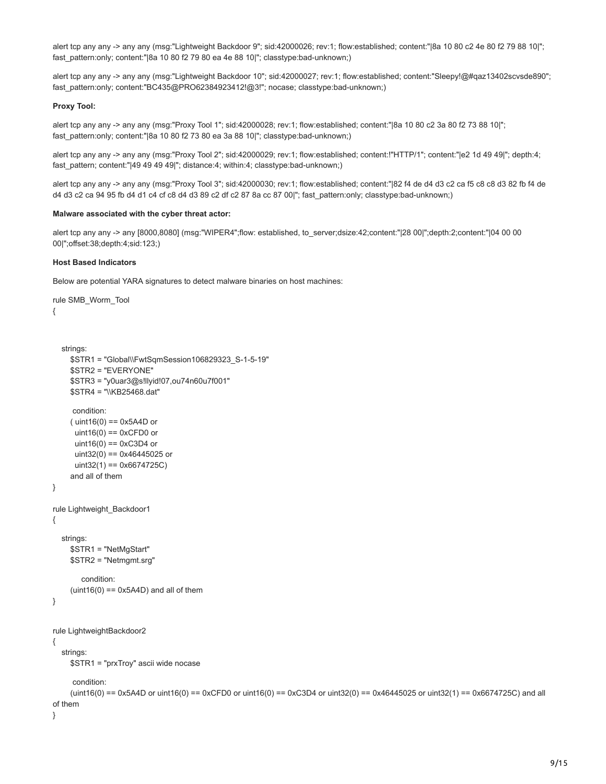alert tcp any any -> any any (msg:"Lightweight Backdoor 9"; sid:42000026; rev:1; flow:established; content:"|8a 10 80 c2 4e 80 f2 79 88 10|"; fast\_pattern:only; content:"|8a 10 80 f2 79 80 ea 4e 88 10|"; classtype:bad-unknown;)

alert tcp any any -> any any (msg:"Lightweight Backdoor 10"; sid:42000027; rev:1; flow:established; content:"Sleepy!@#qaz13402scvsde890"; fast\_pattern:only; content:"BC435@PRO62384923412!@3!"; nocase; classtype:bad-unknown;)

## **Proxy Tool:**

alert tcp any any -> any any (msg:"Proxy Tool 1"; sid:42000028; rev:1; flow:established; content:"|8a 10 80 c2 3a 80 f2 73 88 10|"; fast\_pattern:only; content:"|8a 10 80 f2 73 80 ea 3a 88 10|"; classtype:bad-unknown;)

alert tcp any any -> any any (msg:"Proxy Tool 2"; sid:42000029; rev:1; flow:established; content:!"HTTP/1"; content:"|e2 1d 49 49|"; depth:4; fast\_pattern; content:"|49 49 49 49|"; distance:4; within:4; classtype:bad-unknown;)

alert tcp any any -> any any (msg:"Proxy Tool 3"; sid:42000030; rev:1; flow:established; content:"|82 f4 de d4 d3 c2 ca f5 c8 c8 d3 82 fb f4 de d4 d3 c2 ca 94 95 fb d4 d1 c4 cf c8 d4 d3 89 c2 df c2 87 8a cc 87 00|"; fast\_pattern:only; classtype:bad-unknown;)

## **Malware associated with the cyber threat actor:**

alert tcp any any -> any [8000,8080] (msg:"WIPER4";flow: established, to\_server;dsize:42;content:"|28 00|";depth:2;content:"|04 00 00 00|";offset:38;depth:4;sid:123;)

## **Host Based Indicators**

Below are potential YARA signatures to detect malware binaries on host machines:

```
rule SMB_Worm_Tool
{
   strings: 
     $STR1 = "Global\\FwtSqmSession106829323_S-1-5-19"
     $STR2 = "EVERYONE"
     $STR3 = "y0uar3@s!llyid!07,ou74n60u7f001"
     $STR4 = "\\KB25468.dat"
      condition:
    (i uint16(0) == 0x5A4D or
     uint16(0) == 0xCFD0 or
     uint16(0) == 0xC3D4 or
      uint32(0) == 0x46445025 or
       uint32(1) == 0x6674725C)
     and all of them
}
rule Lightweight_Backdoor1
{
   strings:
     $STR1 = "NetMgStart"
     $STR2 = "Netmgmt.srg"
         condition:
    (iint16(0) == 0x5A4D) and all of them
}
rule LightweightBackdoor2
{
   strings:
     $STR1 = "prxTroy" ascii wide nocase
      condition:
    (uint16(0) = 0x5A4D or uint16(0) = 0xCFD0 or uint16(0) = 0xC3D4 or uint32(0) = 0x46445025 or uint32(1) = 0x6674725C) and all
of them
```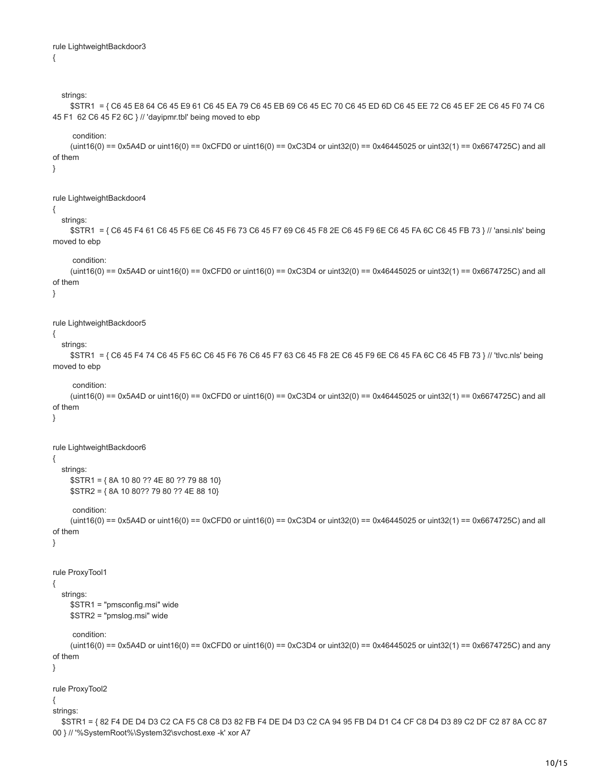```
rule LightweightBackdoor3
{
```
00 } // '%SystemRoot%\System32\svchost.exe -k' xor A7

```
 strings:
      $STR1 = { C6 45 E8 64 C6 45 E9 61 C6 45 EA 79 C6 45 EB 69 C6 45 EC 70 C6 45 ED 6D C6 45 EE 72 C6 45 EF 2E C6 45 F0 74 C6
45 F1 62 C6 45 F2 6C } // 'dayipmr.tbl' being moved to ebp
      condition:
     (uint16(0) = 0x5A4D or uint16(0) = 0xCFD0 or uint16(0) = 0xC3D4 or uint32(0) = 0x46445025 or uint32(1) = 0x6674725C) and all
of them
}
rule LightweightBackdoor4
{
   strings: 
      $STR1 = { C6 45 F4 61 C6 45 F5 6E C6 45 F6 73 C6 45 F7 69 C6 45 F8 2E C6 45 F9 6E C6 45 FA 6C C6 45 FB 73 } // 'ansi.nls' being
moved to ebp
      condition:
     (uint16(0) = 0x5A4D or uint16(0) = 0xCFD0 or uint16(0) = 0xC3D4 or uint32(0) = 0x46445025 or uint32(1) = 0x6674725C) and all
of them
}
rule LightweightBackdoor5
{
   strings:
      $STR1 = { C6 45 F4 74 C6 45 F5 6C C6 45 F6 76 C6 45 F7 63 C6 45 F8 2E C6 45 F9 6E C6 45 FA 6C C6 45 FB 73 } // 'tlvc.nls' being
moved to ebp
      condition:
     (uint16(0) = 0x5A4D or uint16(0) = 0xCFD0 or uint16(0) = 0xC3D4 or uint32(0) = 0x46445025 or uint32(1) = 0x6674725C) and all
of them
}
rule LightweightBackdoor6
{
   strings:
      $STR1 = { 8A 10 80 ?? 4E 80 ?? 79 88 10}
      $STR2 = { 8A 10 80?? 79 80 ?? 4E 88 10}
      condition:
     (uint16(0) = 0x5A4D or uint16(0) = 0xCFD0 or uint16(0) = 0xC3D4 or uint32(0) = 0x46445025 or uint32(1) = 0x6674725C) and all
of them
}
rule ProxyTool1
{
   strings:
      $STR1 = "pmsconfig.msi" wide
      $STR2 = "pmslog.msi" wide
      condition:
     (uint16(0) == 0x5A4D or uint16(0) == 0xCFD0 or uint16(0) == 0xC3D4 or uint32(0) == 0x46445025 or uint32(1) == 0x6674725C and any
of them
}
rule ProxyTool2
{
strings:
   $STR1 = { 82 F4 DE D4 D3 C2 CA F5 C8 C8 D3 82 FB F4 DE D4 D3 C2 CA 94 95 FB D4 D1 C4 CF C8 D4 D3 89 C2 DF C2 87 8A CC 87
```
10/15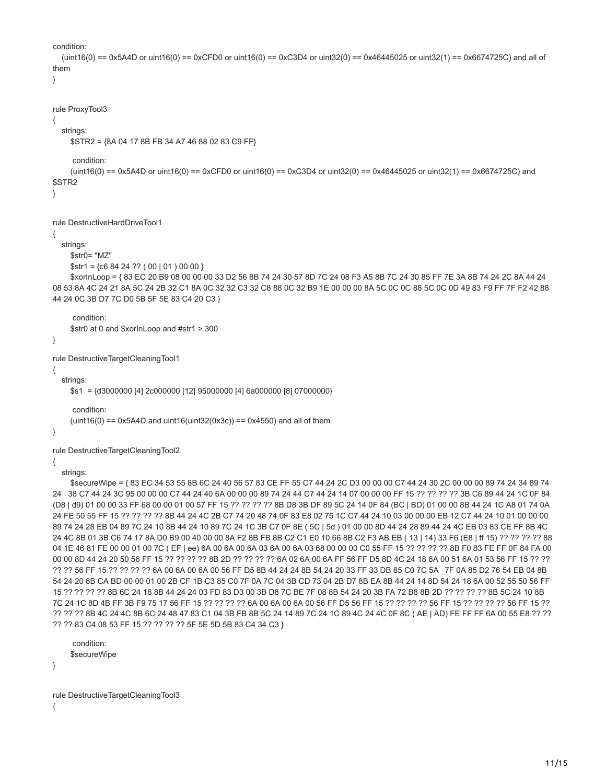```
condition:
```

```
(uint16(0) = 0x5A4D or uint16(0) = 0xCFD0 or uint16(0) = 0xC3D4 or uint32(0) = 0x46445025 or uint32(1) = 0x6674725C) and all of
them
}
```

```
rule ProxyTool3
```

```
{
    strings:
```

```
 $STR2 = {8A 04 17 8B FB 34 A7 46 88 02 83 C9 FF}
```
condition:

```
(uint16(0) = 0x5A4D or uint16(0) = 0xCFD0 or uint16(0) = 0xC3D4 or uint32(0) = 0x46445025 or uint32(1) = 0x6674725C and
$STR2
```
}

rule DestructiveHardDriveTool1

# {

```
 strings:
    $str0= "MZ"
```

```
$str1 = {c6 84 24 ?? (00 | 01) 00 00}
```
 \$xorInLoop = { 83 EC 20 B9 08 00 00 00 33 D2 56 8B 74 24 30 57 8D 7C 24 08 F3 A5 8B 7C 24 30 85 FF 7E 3A 8B 74 24 2C 8A 44 24 08 53 8A 4C 24 21 8A 5C 24 2B 32 C1 8A 0C 32 32 C3 32 C8 88 0C 32 B9 1E 00 00 00 8A 5C 0C 0C 88 5C 0C 0D 49 83 F9 FF 7F F2 42 88 44 24 0C 3B D7 7C D0 5B 5F 5E 83 C4 20 C3 }

condition:

\$str0 at 0 and \$xorInLoop and #str1 > 300

```
}
```
rule DestructiveTargetCleaningTool1

{

strings:

\$s1 = {d3000000 [4] 2c000000 [12] 95000000 [4] 6a000000 [8] 07000000}

condition:

```
(uint16(0) == 0x5A4D and uint16(uint32(0x3c)) == 0x4550) and all of them
```
}

rule DestructiveTargetCleaningTool2

{

strings:

 \$secureWipe = { 83 EC 34 53 55 8B 6C 24 40 56 57 83 CE FF 55 C7 44 24 2C D3 00 00 00 C7 44 24 30 2C 00 00 00 89 74 24 34 89 74 24 38 C7 44 24 3C 95 00 00 00 C7 44 24 40 6A 00 00 00 89 74 24 44 C7 44 24 14 07 00 00 00 FF 15 ?? ?? ?? ?? 3B C6 89 44 24 1C 0F 84 (D8 | d9) 01 00 00 33 FF 68 00 00 01 00 57 FF 15 ?? ?? ?? ?? 8B D8 3B DF 89 5C 24 14 0F 84 (BC | BD) 01 00 00 8B 44 24 1C A8 01 74 0A 24 FE 50 55 FF 15 ?? ?? ?? ?? 8B 44 24 4C 2B C7 74 20 48 74 0F 83 E8 02 75 1C C7 44 24 10 03 00 00 00 EB 12 C7 44 24 10 01 00 00 00 89 74 24 28 EB 04 89 7C 24 10 8B 44 24 10 89 7C 24 1C 3B C7 0F 8E ( 5C | 5d ) 01 00 00 8D 44 24 28 89 44 24 4C EB 03 83 CE FF 8B 4C 24 4C 8B 01 3B C6 74 17 8A D0 B9 00 40 00 00 8A F2 8B FB 8B C2 C1 E0 10 66 8B C2 F3 AB EB ( 13 | 14) 33 F6 (E8 | ff 15) ?? ?? ?? ?? 88 04 1E 46 81 FE 00 00 01 00 7C ( EF | ee) 6A 00 6A 00 6A 03 6A 00 6A 03 68 00 00 00 C0 55 FF 15 ?? ?? ?? ?? 8B F0 83 FE FF 0F 84 FA 00 00 00 8D 44 24 20 50 56 FF 15 ?? ?? ?? ?? 8B 2D ?? ?? ?? ?? 6A 02 6A 00 6A FF 56 FF D5 8D 4C 24 18 6A 00 51 6A 01 53 56 FF 15 ?? ?? ?? ?? 56 FF 15 ?? ?? ?? ?? 6A 00 6A 00 6A 00 56 FF D5 8B 44 24 24 8B 54 24 20 33 FF 33 DB 85 C0 7C 5A 7F 0A 85 D2 76 54 EB 04 8B 54 24 20 8B CA BD 00 00 01 00 2B CF 1B C3 85 C0 7F 0A 7C 04 3B CD 73 04 2B D7 8B EA 8B 44 24 14 8D 54 24 18 6A 00 52 55 50 56 FF 15 ?? ?? ?? ?? 8B 6C 24 18 8B 44 24 24 03 FD 83 D3 00 3B D8 7C BE 7F 08 8B 54 24 20 3B FA 72 B8 8B 2D ?? ?? ?? ?? 8B 5C 24 10 8B 7C 24 1C 8D 4B FF 3B F9 75 17 56 FF 15 ?? ?? ?? ?? 6A 00 6A 00 6A 00 56 FF D5 56 FF 15 ?? ?? ?? ?? 56 FF 15 ?? ?? ?? ?? 56 FF 15 ?? ?? ?? ?? 8B 4C 24 4C 8B 6C 24 48 47 83 C1 04 3B FB 8B 5C 24 14 89 7C 24 1C 89 4C 24 4C 0F 8C ( AE | AD) FE FF FF 6A 00 55 E8 ?? ?? ?? ?? 83 C4 08 53 FF 15 ?? ?? ?? ?? 5F 5E 5D 5B 83 C4 34 C3 }

 condition: \$secureWipe

rule DestructiveTargetCleaningTool3 {

}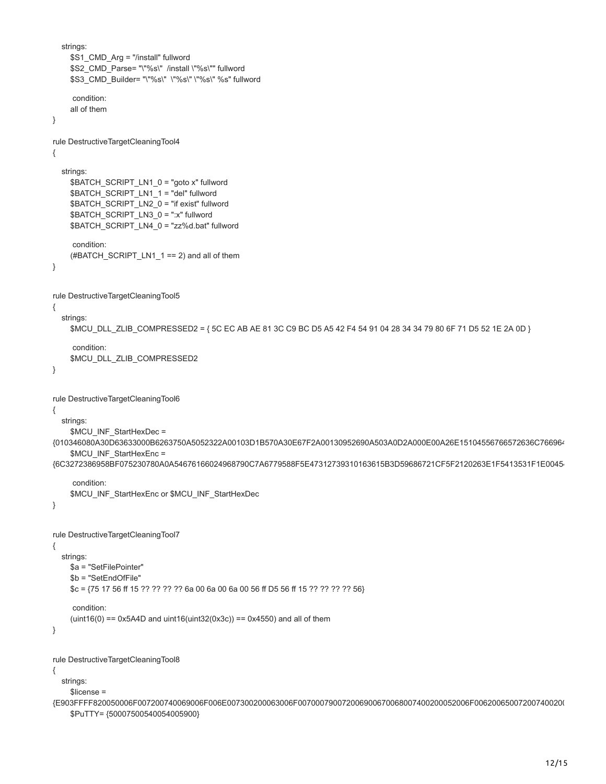```
 strings:
    $S1_CMD_Arg = "/install" fullword
     $S2_CMD_Parse= "\"%s\" /install \"%s\"" fullword
     $S3_CMD_Builder= "\"%s\" \"%s\" \"%s\" %s" fullword
      condition:
     all of them
}
rule DestructiveTargetCleaningTool4
{
   strings:
     $BATCH_SCRIPT_LN1_0 = "goto x" fullword
    $BATCH_SCRIPT_LN1_1 = "del" fullword
     $BATCH_SCRIPT_LN2_0 = "if exist" fullword
     $BATCH_SCRIPT_LN3_0 = ":x" fullword
     $BATCH_SCRIPT_LN4_0 = "zz%d.bat" fullword
      condition:
     (#BATCH_SCRIPT_LN1_1 == 2) and all of them
}
rule DestructiveTargetCleaningTool5
{
   strings:
     $MCU_DLL_ZLIB_COMPRESSED2 = { 5C EC AB AE 81 3C C9 BC D5 A5 42 F4 54 91 04 28 34 34 79 80 6F 71 D5 52 1E 2A 0D }
      condition:
     $MCU_DLL_ZLIB_COMPRESSED2
}
rule DestructiveTargetCleaningTool6
{
   strings:
     $MCU_INF_StartHexDec =
{010346080A30D63633000B6263750A5052322A00103D1B570A30E67F2A00130952690A503A0D2A000E00A26E15104556766572636C766964
     $MCU_INF_StartHexEnc =
{6C3272386958BF075230780A0A54676166024968790C7A6779588F5E47312739310163615B3D59686721CF5F2120263E1F5413531F1E00454
      condition:
    $MCU_INF_StartHexEnc or $MCU_INF_StartHexDec
}
rule DestructiveTargetCleaningTool7
{
   strings:
     $a = "SetFilePointer"
     $b = "SetEndOfFile"
     $c = {75 17 56 ff 15 ?? ?? ?? ?? 6a 00 6a 00 6a 00 56 ff D5 56 ff 15 ?? ?? ?? ?? 56}
      condition:
    (iint16(0) == 0x5A4D and (iint16(iint32(0x3c)) == 0x4550) and all of them
}
rule DestructiveTargetCleaningTool8
{
   strings:
     $license =
{E903FFFF820050006F007200740069006F006E007300200063006F007000790072006900670068007400200052006F006200650072007400200
     $PuTTY= {50007500540054005900}
```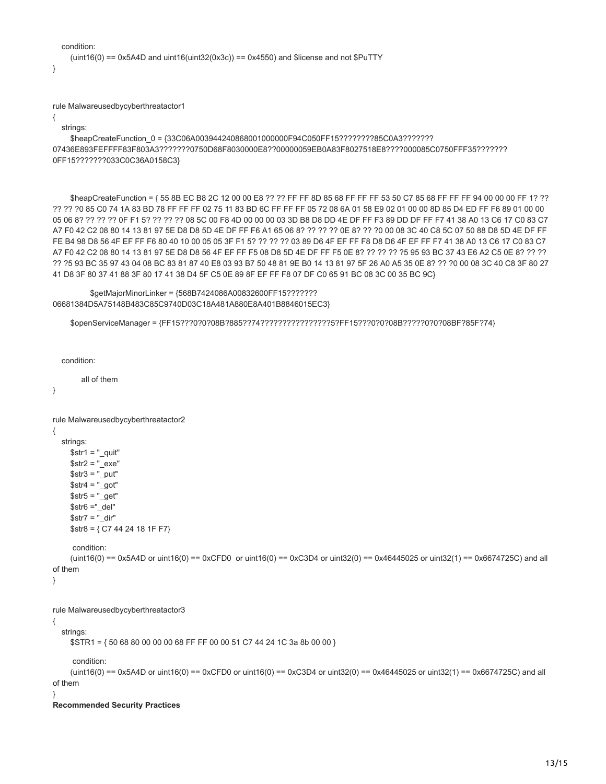```
 condition:
  (uint16(0) == 0x5A4D and uint16(uint32(0x3c)) == 0x4550) and $license and not $PuTTY
```
}

rule Malwareusedbycyberthreatactor1

{

strings:

\$heapCreateFunction 0 = {33C06A003944240868001000000F94C050FF15???????85C0A3??????? 07436E893FEFFFF83F803A3???????0750D68F8030000E8??00000059EB0A83F8027518E8????000085C0750FFF35??????? 0FF15???????033C0C36A0158C3}

\$heapCreateFunction = { 55 8B EC B8 2C 12 00 00 E8 ?? ?? FF FF 8D 85 68 FF FF FF 53 50 C7 85 68 FF FF FF 94 00 00 00 FF 1? ?? ?? ?? ?0 85 C0 74 1A 83 BD 78 FF FF FF 02 75 11 83 BD 6C FF FF FF 05 72 08 6A 01 58 E9 02 01 00 00 8D 85 D4 ED FF F6 89 01 00 00 05 06 8? ?? ?? ?? 0F F1 5? ?? ?? ?? 08 5C 00 F8 4D 00 00 00 03 3D B8 D8 DD 4E DF FF F3 89 DD DF FF F7 41 38 A0 13 C6 17 C0 83 C7 A7 F0 42 C2 08 80 14 13 81 97 5E D8 D8 5D 4E DF FF F6 A1 65 06 8? ?? ?? ?? 0E 8? ?? ?0 00 08 3C 40 C8 5C 07 50 88 D8 5D 4E DF FF FE B4 98 D8 56 4F EF FF F6 80 40 10 00 05 05 3F F1 5? ?? ?? ?? 03 89 D6 4F EF FF F8 D8 D6 4F EF FF F7 41 38 A0 13 C6 17 C0 83 C7 A7 F0 42 C2 08 80 14 13 81 97 5E D8 D8 56 4F EF FF F5 08 D8 5D 4E DF FF F5 0E 8? ?? ?? ?? ?5 95 93 BC 37 43 E6 A2 C5 0E 8? ?? ?? ?? ?5 93 BC 35 97 43 04 08 BC 83 81 87 40 E8 03 93 B7 50 48 81 9E B0 14 13 81 97 5F 26 A0 A5 35 0E 8? ?? ?0 00 08 3C 40 C8 3F 80 27 41 D8 3F 80 37 41 88 3F 80 17 41 38 D4 5F C5 0E 89 8F EF FF F8 07 DF C0 65 91 BC 08 3C 00 35 BC 9C}

```
 $getMajorMinorLinker = {568B7424086A00832600FF15???????
06681384D5A75148B483C85C9740D03C18A481A880E8A401B8846015EC3}
```
\$openServiceManager = {FF15???0?0?08B?885??74????????????????5?FF15???0?0?08B?????0?0?08BF?85F?74}

condition:

all of them

}

```
rule Malwareusedbycyberthreatactor2
{
```
 strings:  $$str1 = "$  quit"  $$str2 = "exe"$  $$str3 = "put"$ 

 $$str4 = "got"$  $$str5 = "get"$  $$str6 = "$ \_del"

condition:

 $$str7 = "dir"$ 

```
 (uint16(0) == 0x5A4D or uint16(0) == 0xCFD0 or uint16(0) == 0xC3D4 or uint32(0) == 0x46445025 or uint32(1) == 0x6674725C) and all
of them
```
}

rule Malwareusedbycyberthreatactor3

 $$str8 = { C7 44 24 18 1F F7 }$ 

{ strings:

\$STR1 = { 50 68 80 00 00 00 68 FF FF 00 00 51 C7 44 24 1C 3a 8b 00 00 }

condition:

```
(uint16(0) = 0x5A4D or uint16(0) = 0xCFD0 or uint16(0) = 0xC3D4 or uint32(0) = 0x46445025 or uint32(1) = 0x6674725C) and all
of them
```
}

#### **Recommended Security Practices**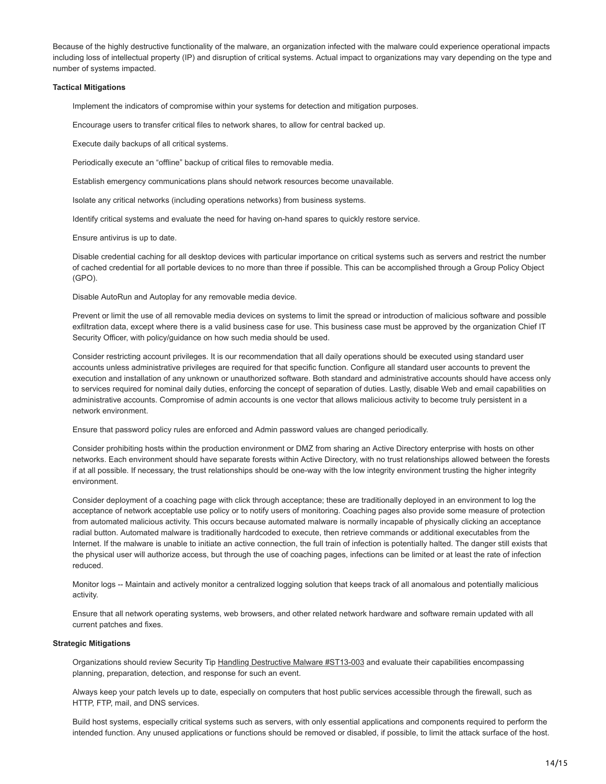Because of the highly destructive functionality of the malware, an organization infected with the malware could experience operational impacts including loss of intellectual property (IP) and disruption of critical systems. Actual impact to organizations may vary depending on the type and number of systems impacted.

#### **Tactical Mitigations**

Implement the indicators of compromise within your systems for detection and mitigation purposes.

Encourage users to transfer critical files to network shares, to allow for central backed up.

Execute daily backups of all critical systems.

Periodically execute an "offline" backup of critical files to removable media.

Establish emergency communications plans should network resources become unavailable.

Isolate any critical networks (including operations networks) from business systems.

Identify critical systems and evaluate the need for having on-hand spares to quickly restore service.

Ensure antivirus is up to date.

Disable credential caching for all desktop devices with particular importance on critical systems such as servers and restrict the number of cached credential for all portable devices to no more than three if possible. This can be accomplished through a Group Policy Object (GPO).

Disable AutoRun and Autoplay for any removable media device.

Prevent or limit the use of all removable media devices on systems to limit the spread or introduction of malicious software and possible exfiltration data, except where there is a valid business case for use. This business case must be approved by the organization Chief IT Security Officer, with policy/guidance on how such media should be used.

Consider restricting account privileges. It is our recommendation that all daily operations should be executed using standard user accounts unless administrative privileges are required for that specific function. Configure all standard user accounts to prevent the execution and installation of any unknown or unauthorized software. Both standard and administrative accounts should have access only to services required for nominal daily duties, enforcing the concept of separation of duties. Lastly, disable Web and email capabilities on administrative accounts. Compromise of admin accounts is one vector that allows malicious activity to become truly persistent in a network environment.

Ensure that password policy rules are enforced and Admin password values are changed periodically.

Consider prohibiting hosts within the production environment or DMZ from sharing an Active Directory enterprise with hosts on other networks. Each environment should have separate forests within Active Directory, with no trust relationships allowed between the forests if at all possible. If necessary, the trust relationships should be one-way with the low integrity environment trusting the higher integrity environment.

Consider deployment of a coaching page with click through acceptance; these are traditionally deployed in an environment to log the acceptance of network acceptable use policy or to notify users of monitoring. Coaching pages also provide some measure of protection from automated malicious activity. This occurs because automated malware is normally incapable of physically clicking an acceptance radial button. Automated malware is traditionally hardcoded to execute, then retrieve commands or additional executables from the Internet. If the malware is unable to initiate an active connection, the full train of infection is potentially halted. The danger still exists that the physical user will authorize access, but through the use of coaching pages, infections can be limited or at least the rate of infection reduced.

Monitor logs -- Maintain and actively monitor a centralized logging solution that keeps track of all anomalous and potentially malicious activity.

Ensure that all network operating systems, web browsers, and other related network hardware and software remain updated with all current patches and fixes.

#### **Strategic Mitigations**

Organizations should review Security Tip [Handling Destructive Malware #ST13-003](https://www.us-cert.gov/ncas/tips/ST13-003) and evaluate their capabilities encompassing planning, preparation, detection, and response for such an event.

Always keep your patch levels up to date, especially on computers that host public services accessible through the firewall, such as HTTP, FTP, mail, and DNS services.

Build host systems, especially critical systems such as servers, with only essential applications and components required to perform the intended function. Any unused applications or functions should be removed or disabled, if possible, to limit the attack surface of the host.